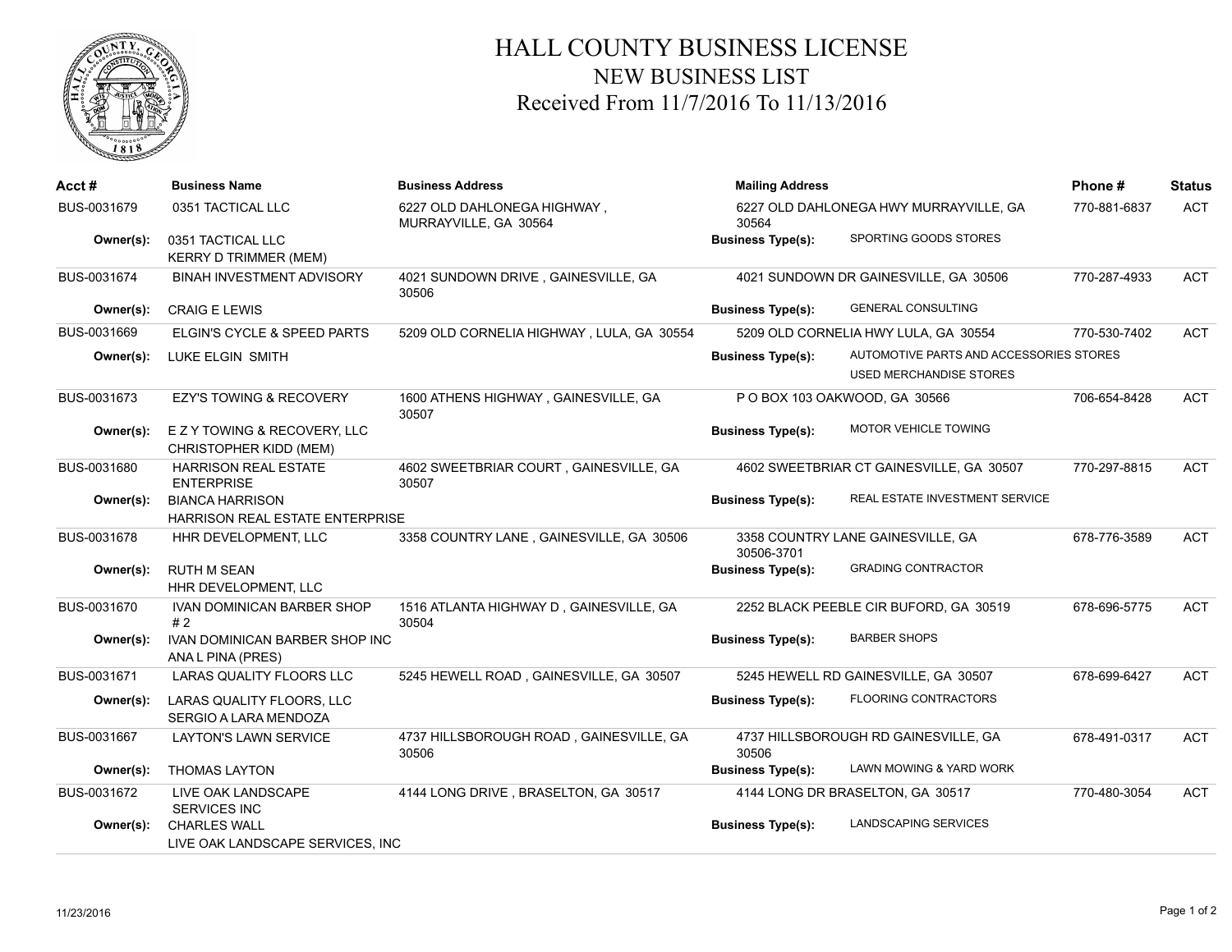

## HALL COUNTY BUSINESS LICENSE NEW BUSINESS LIST Received From 11/7/2016 To 11/13/2016

| Acct#       | <b>Business Name</b>                                       | <b>Business Address</b>                              | <b>Mailing Address</b>                          |                                                                    | Phone#       | <b>Status</b> |
|-------------|------------------------------------------------------------|------------------------------------------------------|-------------------------------------------------|--------------------------------------------------------------------|--------------|---------------|
| BUS-0031679 | 0351 TACTICAL LLC                                          | 6227 OLD DAHLONEGA HIGHWAY,<br>MURRAYVILLE, GA 30564 | 6227 OLD DAHLONEGA HWY MURRAYVILLE, GA<br>30564 |                                                                    | 770-881-6837 | <b>ACT</b>    |
| Owner(s):   | 0351 TACTICAL LLC<br><b>KERRY D TRIMMER (MEM)</b>          |                                                      | <b>Business Type(s):</b>                        | SPORTING GOODS STORES                                              |              |               |
| BUS-0031674 | <b>BINAH INVESTMENT ADVISORY</b>                           | 4021 SUNDOWN DRIVE, GAINESVILLE, GA<br>30506         |                                                 | 4021 SUNDOWN DR GAINESVILLE, GA 30506                              | 770-287-4933 | <b>ACT</b>    |
| Owner(s):   | <b>CRAIG E LEWIS</b>                                       |                                                      | <b>Business Type(s):</b>                        | <b>GENERAL CONSULTING</b>                                          |              |               |
| BUS-0031669 | ELGIN'S CYCLE & SPEED PARTS                                | 5209 OLD CORNELIA HIGHWAY, LULA, GA 30554            |                                                 | 5209 OLD CORNELIA HWY LULA, GA 30554                               | 770-530-7402 | <b>ACT</b>    |
| Owner(s):   | LUKE ELGIN SMITH                                           |                                                      | <b>Business Type(s):</b>                        | AUTOMOTIVE PARTS AND ACCESSORIES STORES<br>USED MERCHANDISE STORES |              |               |
| BUS-0031673 | <b>EZY'S TOWING &amp; RECOVERY</b>                         | 1600 ATHENS HIGHWAY, GAINESVILLE, GA<br>30507        |                                                 | P O BOX 103 OAKWOOD, GA 30566                                      | 706-654-8428 | <b>ACT</b>    |
| Owner(s):   | E Z Y TOWING & RECOVERY, LLC<br>CHRISTOPHER KIDD (MEM)     |                                                      | <b>Business Type(s):</b>                        | <b>MOTOR VEHICLE TOWING</b>                                        |              |               |
| BUS-0031680 | <b>HARRISON REAL ESTATE</b><br><b>ENTERPRISE</b>           | 4602 SWEETBRIAR COURT, GAINESVILLE, GA<br>30507      |                                                 | 4602 SWEETBRIAR CT GAINESVILLE, GA 30507                           | 770-297-8815 | <b>ACT</b>    |
| Owner(s):   | <b>BIANCA HARRISON</b><br>HARRISON REAL ESTATE ENTERPRISE  |                                                      | <b>Business Type(s):</b>                        | REAL ESTATE INVESTMENT SERVICE                                     |              |               |
| BUS-0031678 | HHR DEVELOPMENT, LLC                                       | 3358 COUNTRY LANE, GAINESVILLE, GA 30506             | 30506-3701                                      | 3358 COUNTRY LANE GAINESVILLE, GA                                  | 678-776-3589 | <b>ACT</b>    |
| Owner(s):   | <b>RUTH M SEAN</b><br>HHR DEVELOPMENT, LLC                 |                                                      | <b>Business Type(s):</b>                        | <b>GRADING CONTRACTOR</b>                                          |              |               |
| BUS-0031670 | <b>IVAN DOMINICAN BARBER SHOP</b><br>#2                    | 1516 ATLANTA HIGHWAY D, GAINESVILLE, GA<br>30504     |                                                 | 2252 BLACK PEEBLE CIR BUFORD, GA 30519                             | 678-696-5775 | <b>ACT</b>    |
| Owner(s):   | <b>IVAN DOMINICAN BARBER SHOP INC</b><br>ANA L PINA (PRES) |                                                      | <b>Business Type(s):</b>                        | <b>BARBER SHOPS</b>                                                |              |               |
| BUS-0031671 | LARAS QUALITY FLOORS LLC                                   | 5245 HEWELL ROAD, GAINESVILLE, GA 30507              |                                                 | 5245 HEWELL RD GAINESVILLE, GA 30507                               | 678-699-6427 | <b>ACT</b>    |
| Owner(s):   | LARAS QUALITY FLOORS, LLC<br>SERGIO A LARA MENDOZA         |                                                      | <b>Business Type(s):</b>                        | <b>FLOORING CONTRACTORS</b>                                        |              |               |
| BUS-0031667 | <b>LAYTON'S LAWN SERVICE</b>                               | 4737 HILLSBOROUGH ROAD, GAINESVILLE, GA<br>30506     | 30506                                           | 4737 HILLSBOROUGH RD GAINESVILLE, GA                               | 678-491-0317 | <b>ACT</b>    |
| Owner(s):   | <b>THOMAS LAYTON</b>                                       |                                                      | <b>Business Type(s):</b>                        | LAWN MOWING & YARD WORK                                            |              |               |
| BUS-0031672 | LIVE OAK LANDSCAPE<br><b>SERVICES INC</b>                  | 4144 LONG DRIVE, BRASELTON, GA 30517                 |                                                 | 4144 LONG DR BRASELTON, GA 30517                                   | 770-480-3054 | <b>ACT</b>    |
| Owner(s):   | <b>CHARLES WALL</b><br>LIVE OAK LANDSCAPE SERVICES, INC    |                                                      | <b>Business Type(s):</b>                        | <b>LANDSCAPING SERVICES</b>                                        |              |               |